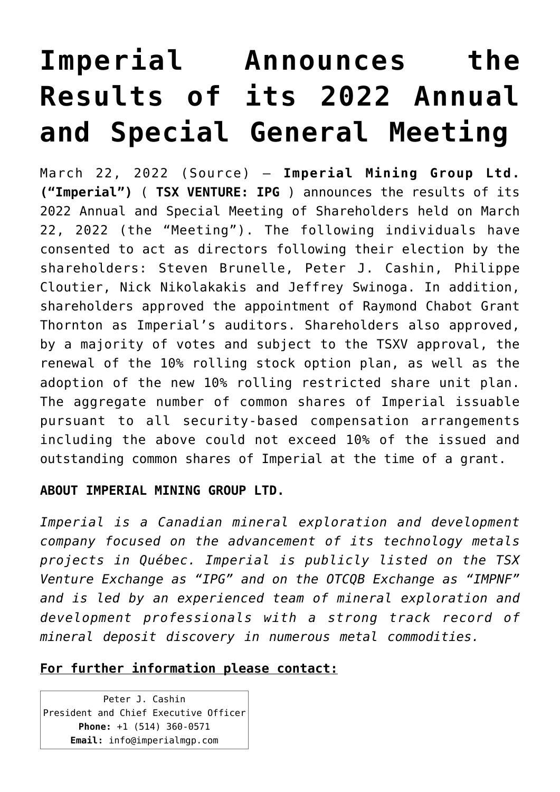## **[Imperial Announces the](https://investorintel.com/markets/technology-metals/technology-metals-news/imperial-announces-the-results-of-its-2022-annual-and-special-general-meeting/) [Results of its 2022 Annual](https://investorintel.com/markets/technology-metals/technology-metals-news/imperial-announces-the-results-of-its-2022-annual-and-special-general-meeting/) [and Special General Meeting](https://investorintel.com/markets/technology-metals/technology-metals-news/imperial-announces-the-results-of-its-2022-annual-and-special-general-meeting/)**

March 22, 2022 ([Source\)](https://www.globenewswire.com/news-release/2022/03/22/2407922/0/en/Imperial-Announces-the-Results-of-its-2022-Annual-and-Special-General-Meeting.html) — **Imperial Mining Group Ltd. ("Imperial")** ( **TSX VENTURE: IPG** ) announces the results of its 2022 Annual and Special Meeting of Shareholders held on March 22, 2022 (the "Meeting"). The following individuals have consented to act as directors following their election by the shareholders: Steven Brunelle, Peter J. Cashin, Philippe Cloutier, Nick Nikolakakis and Jeffrey Swinoga. In addition, shareholders approved the appointment of Raymond Chabot Grant Thornton as Imperial's auditors. Shareholders also approved, by a majority of votes and subject to the TSXV approval, the renewal of the 10% rolling stock option plan, as well as the adoption of the new 10% rolling restricted share unit plan. The aggregate number of common shares of Imperial issuable pursuant to all security-based compensation arrangements including the above could not exceed 10% of the issued and outstanding common shares of Imperial at the time of a grant.

## **ABOUT IMPERIAL MINING GROUP LTD.**

*Imperial is a Canadian mineral exploration and development company focused on the advancement of its technology metals projects in Québec. Imperial is publicly listed on the TSX Venture Exchange as "IPG" and on the OTCQB Exchange as "IMPNF" and is led by an experienced team of mineral exploration and development professionals with a strong track record of mineral deposit discovery in numerous metal commodities.*

## **For further information please contact:**

Peter J. Cashin President and Chief Executive Officer **Phone:** +1 (514) 360-0571 **Email:** [info@imperialmgp.com](mailto:info@imperialmgp.com)